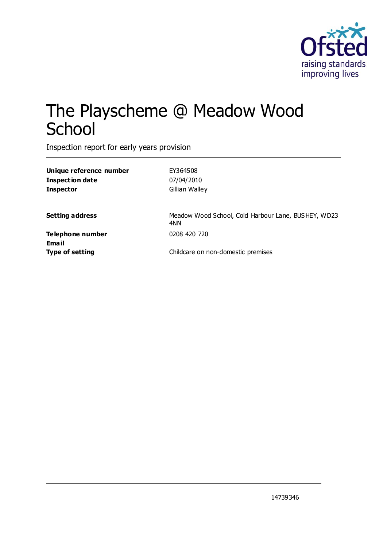

# The Playscheme @ Meadow Wood School

Inspection report for early years provision

| Unique reference number | EY364508                                                   |
|-------------------------|------------------------------------------------------------|
| <b>Inspection date</b>  | 07/04/2010                                                 |
| <b>Inspector</b>        | Gillian Walley                                             |
| <b>Setting address</b>  | Meadow Wood School, Cold Harbour Lane, BUSHEY, WD23<br>4NN |
| Telephone number        | 0208 420 720                                               |
| <b>Email</b>            |                                                            |
| <b>Type of setting</b>  | Childcare on non-domestic premises                         |
|                         |                                                            |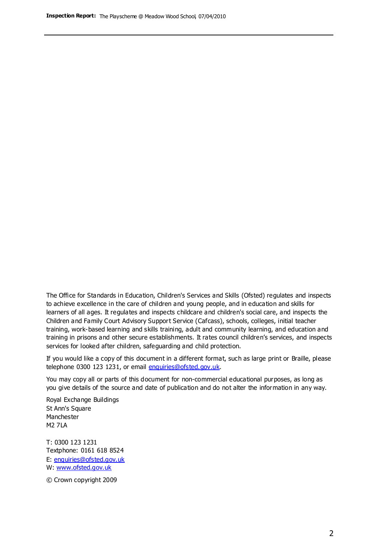The Office for Standards in Education, Children's Services and Skills (Ofsted) regulates and inspects to achieve excellence in the care of children and young people, and in education and skills for learners of all ages. It regulates and inspects childcare and children's social care, and inspects the Children and Family Court Advisory Support Service (Cafcass), schools, colleges, initial teacher training, work-based learning and skills training, adult and community learning, and education and training in prisons and other secure establishments. It rates council children's services, and inspects services for looked after children, safeguarding and child protection.

If you would like a copy of this document in a different format, such as large print or Braille, please telephone 0300 123 1231, or email enquiries@ofsted.gov.uk.

You may copy all or parts of this document for non-commercial educational purposes, as long as you give details of the source and date of publication and do not alter the information in any way.

Royal Exchange Buildings St Ann's Square Manchester M2 7LA

T: 0300 123 1231 Textphone: 0161 618 8524 E: enquiries@ofsted.gov.uk W: [www.ofsted.gov.uk](http://www.ofsted.gov.uk/)

© Crown copyright 2009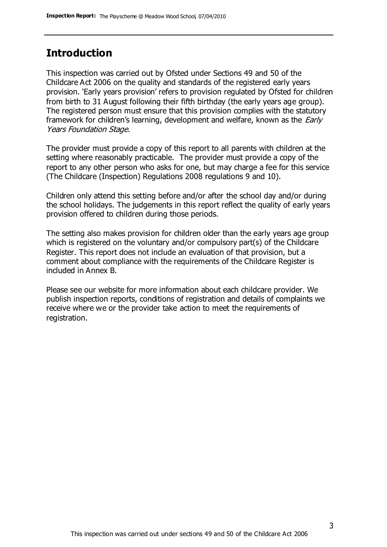#### **Introduction**

This inspection was carried out by Ofsted under Sections 49 and 50 of the Childcare Act 2006 on the quality and standards of the registered early years provision. 'Early years provision' refers to provision regulated by Ofsted for children from birth to 31 August following their fifth birthday (the early years age group). The registered person must ensure that this provision complies with the statutory framework for children's learning, development and welfare, known as the *Early* Years Foundation Stage.

The provider must provide a copy of this report to all parents with children at the setting where reasonably practicable. The provider must provide a copy of the report to any other person who asks for one, but may charge a fee for this service (The Childcare (Inspection) Regulations 2008 regulations 9 and 10).

Children only attend this setting before and/or after the school day and/or during the school holidays. The judgements in this report reflect the quality of early years provision offered to children during those periods.

The setting also makes provision for children older than the early years age group which is registered on the voluntary and/or compulsory part(s) of the Childcare Register. This report does not include an evaluation of that provision, but a comment about compliance with the requirements of the Childcare Register is included in Annex B.

Please see our website for more information about each childcare provider. We publish inspection reports, conditions of registration and details of complaints we receive where we or the provider take action to meet the requirements of registration.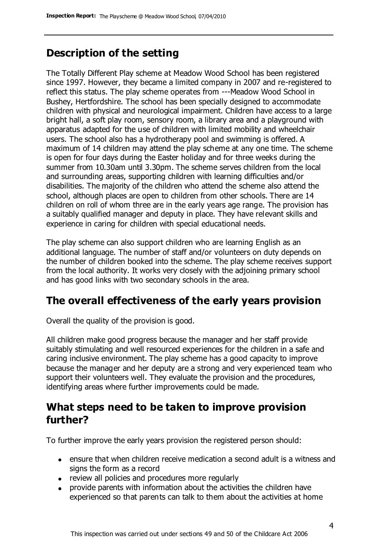# **Description of the setting**

The Totally Different Play scheme at Meadow Wood School has been registered since 1997. However, they became a limited company in 2007 and re-registered to reflect this status. The play scheme operates from ---Meadow Wood School in Bushey, Hertfordshire. The school has been specially designed to accommodate children with physical and neurological impairment. Children have access to a large bright hall, a soft play room, sensory room, a library area and a playground with apparatus adapted for the use of children with limited mobility and wheelchair users. The school also has a hydrotherapy pool and swimming is offered. A maximum of 14 children may attend the play scheme at any one time. The scheme is open for four days during the Easter holiday and for three weeks during the summer from 10.30am until 3.30pm. The scheme serves children from the local and surrounding areas, supporting children with learning difficulties and/or disabilities. The majority of the children who attend the scheme also attend the school, although places are open to children from other schools. There are 14 children on roll of whom three are in the early years age range. The provision has a suitably qualified manager and deputy in place. They have relevant skills and experience in caring for children with special educational needs.

The play scheme can also support children who are learning English as an additional language. The number of staff and/or volunteers on duty depends on the number of children booked into the scheme. The play scheme receives support from the local authority. It works very closely with the adjoining primary school and has good links with two secondary schools in the area.

## **The overall effectiveness of the early years provision**

Overall the quality of the provision is good.

All children make good progress because the manager and her staff provide suitably stimulating and well resourced experiences for the children in a safe and caring inclusive environment. The play scheme has a good capacity to improve because the manager and her deputy are a strong and very experienced team who support their volunteers well. They evaluate the provision and the procedures, identifying areas where further improvements could be made.

#### **What steps need to be taken to improve provision further?**

To further improve the early years provision the registered person should:

- ensure that when children receive medication a second adult is a witness and signs the form as a record
- review all policies and procedures more regularly
- provide parents with information about the activities the children have experienced so that parents can talk to them about the activities at home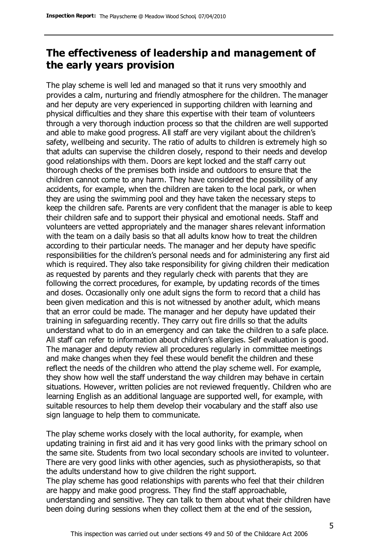# **The effectiveness of leadership and management of the early years provision**

The play scheme is well led and managed so that it runs very smoothly and provides a calm, nurturing and friendly atmosphere for the children. The manager and her deputy are very experienced in supporting children with learning and physical difficulties and they share this expertise with their team of volunteers through a very thorough induction process so that the children are well supported and able to make good progress. All staff are very vigilant about the children's safety, wellbeing and security. The ratio of adults to children is extremely high so that adults can supervise the children closely, respond to their needs and develop good relationships with them. Doors are kept locked and the staff carry out thorough checks of the premises both inside and outdoors to ensure that the children cannot come to any harm. They have considered the possibility of any accidents, for example, when the children are taken to the local park, or when they are using the swimming pool and they have taken the necessary steps to keep the children safe. Parents are very confident that the manager is able to keep their children safe and to support their physical and emotional needs. Staff and volunteers are vetted appropriately and the manager shares relevant information with the team on a daily basis so that all adults know how to treat the children according to their particular needs. The manager and her deputy have specific responsibilities for the children's personal needs and for administering any first aid which is required. They also take responsibility for giving children their medication as requested by parents and they regularly check with parents that they are following the correct procedures, for example, by updating records of the times and doses. Occasionally only one adult signs the form to record that a child has been given medication and this is not witnessed by another adult, which means that an error could be made. The manager and her deputy have updated their training in safeguarding recently. They carry out fire drills so that the adults understand what to do in an emergency and can take the children to a safe place. All staff can refer to information about children's allergies. Self evaluation is good. The manager and deputy review all procedures regularly in committee meetings and make changes when they feel these would benefit the children and these reflect the needs of the children who attend the play scheme well. For example, they show how well the staff understand the way children may behave in certain situations. However, written policies are not reviewed frequently. Children who are learning English as an additional language are supported well, for example, with suitable resources to help them develop their vocabulary and the staff also use sign language to help them to communicate.

The play scheme works closely with the local authority, for example, when updating training in first aid and it has very good links with the primary school on the same site. Students from two local secondary schools are invited to volunteer. There are very good links with other agencies, such as physiotherapists, so that the adults understand how to give children the right support. The play scheme has good relationships with parents who feel that their children

are happy and make good progress. They find the staff approachable, understanding and sensitive. They can talk to them about what their children have been doing during sessions when they collect them at the end of the session,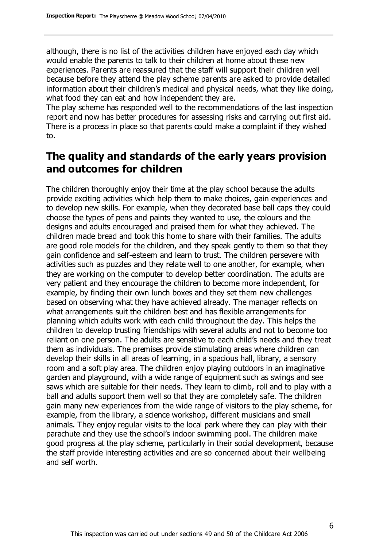although, there is no list of the activities children have enjoyed each day which would enable the parents to talk to their children at home about these new experiences. Parents are reassured that the staff will support their children well because before they attend the play scheme parents are asked to provide detailed information about their children's medical and physical needs, what they like doing, what food they can eat and how independent they are.

The play scheme has responded well to the recommendations of the last inspection report and now has better procedures for assessing risks and carrying out first aid. There is a process in place so that parents could make a complaint if they wished to.

# **The quality and standards of the early years provision and outcomes for children**

The children thoroughly enjoy their time at the play school because the adults provide exciting activities which help them to make choices, gain experiences and to develop new skills. For example, when they decorated base ball caps they could choose the types of pens and paints they wanted to use, the colours and the designs and adults encouraged and praised them for what they achieved. The children made bread and took this home to share with their families. The adults are good role models for the children, and they speak gently to them so that they gain confidence and self-esteem and learn to trust. The children persevere with activities such as puzzles and they relate well to one another, for example, when they are working on the computer to develop better coordination. The adults are very patient and they encourage the children to become more independent, for example, by finding their own lunch boxes and they set them new challenges based on observing what they have achieved already. The manager reflects on what arrangements suit the children best and has flexible arrangements for planning which adults work with each child throughout the day. This helps the children to develop trusting friendships with several adults and not to become too reliant on one person. The adults are sensitive to each child's needs and they treat them as individuals. The premises provide stimulating areas where children can develop their skills in all areas of learning, in a spacious hall, library, a sensory room and a soft play area. The children enjoy playing outdoors in an imaginative garden and playground, with a wide range of equipment such as swings and see saws which are suitable for their needs. They learn to climb, roll and to play with a ball and adults support them well so that they are completely safe. The children gain many new experiences from the wide range of visitors to the play scheme, for example, from the library, a science workshop, different musicians and small animals. They enjoy regular visits to the local park where they can play with their parachute and they use the school's indoor swimming pool. The children make good progress at the play scheme, particularly in their social development, because the staff provide interesting activities and are so concerned about their wellbeing and self worth.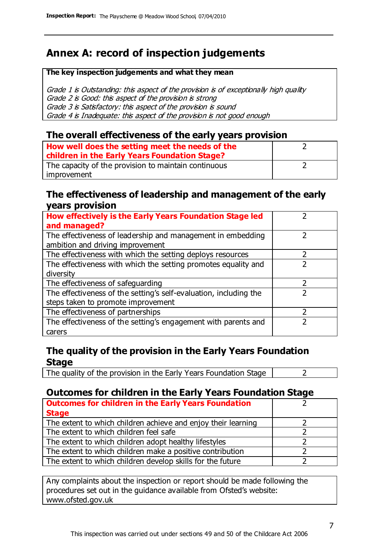# **Annex A: record of inspection judgements**

#### **The key inspection judgements and what they mean**

Grade 1 is Outstanding: this aspect of the provision is of exceptionally high quality Grade 2 is Good: this aspect of the provision is strong Grade 3 is Satisfactory: this aspect of the provision is sound Grade 4 is Inadequate: this aspect of the provision is not good enough

#### **The overall effectiveness of the early years provision**

| How well does the setting meet the needs of the<br>children in the Early Years Foundation Stage? |  |
|--------------------------------------------------------------------------------------------------|--|
| The capacity of the provision to maintain continuous                                             |  |
| improvement                                                                                      |  |

#### **The effectiveness of leadership and management of the early years provision**

| How effectively is the Early Years Foundation Stage led                                         |   |
|-------------------------------------------------------------------------------------------------|---|
| and managed?                                                                                    |   |
| The effectiveness of leadership and management in embedding<br>ambition and driving improvement |   |
| The effectiveness with which the setting deploys resources                                      |   |
| The effectiveness with which the setting promotes equality and                                  |   |
| diversity                                                                                       |   |
| The effectiveness of safeguarding                                                               | 2 |
| The effectiveness of the setting's self-evaluation, including the                               | 2 |
| steps taken to promote improvement                                                              |   |
| The effectiveness of partnerships                                                               |   |
| The effectiveness of the setting's engagement with parents and                                  |   |
| carers                                                                                          |   |

#### **The quality of the provision in the Early Years Foundation Stage**

The quality of the provision in the Early Years Foundation Stage  $\vert$  2

#### **Outcomes for children in the Early Years Foundation Stage**

| <b>Outcomes for children in the Early Years Foundation</b>    |  |
|---------------------------------------------------------------|--|
| <b>Stage</b>                                                  |  |
| The extent to which children achieve and enjoy their learning |  |
| The extent to which children feel safe                        |  |
| The extent to which children adopt healthy lifestyles         |  |
| The extent to which children make a positive contribution     |  |
| The extent to which children develop skills for the future    |  |

Any complaints about the inspection or report should be made following the procedures set out in the guidance available from Ofsted's website: www.ofsted.gov.uk